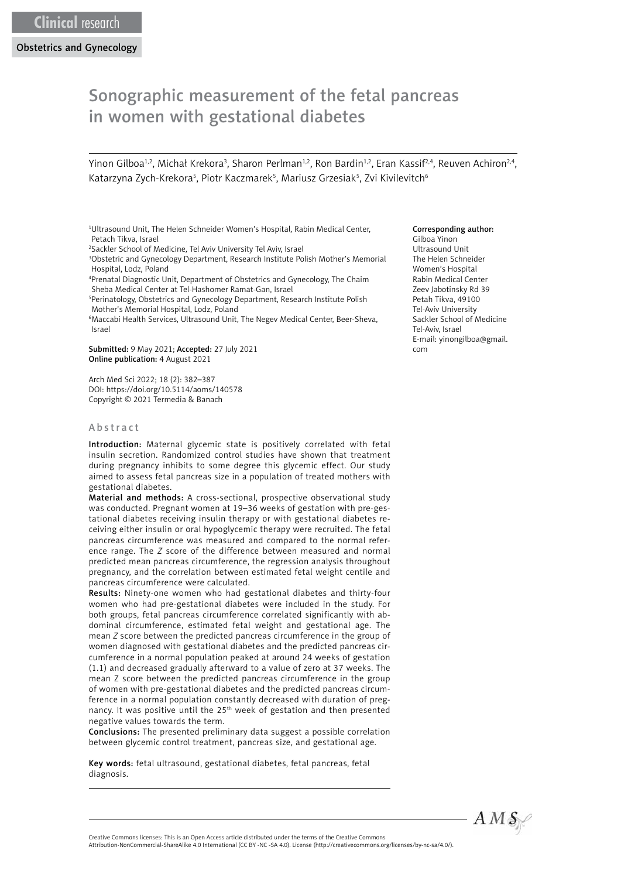Obstetrics and Gynecology

# Sonographic measurement of the fetal pancreas in women with gestational diabetes

Yinon Gilboa½, Michał Krekora¾, Sharon Perlman½, Ron Bardin½, Eran Kassif24, Reuven Achiron24, Katarzyna Zych-Krekora<sup>5</sup>, Piotr Kaczmarek<sup>5</sup>, Mariusz Grzesiak<sup>5</sup>, Zvi Kivilevitch<sup>6</sup>

- <sup>1</sup>Ultrasound Unit, The Helen Schneider Women's Hospital, Rabin Medical Center, Petach Tikva, Israel
- 2 Sackler School of Medicine, Tel Aviv University Tel Aviv, Israel
- 3 Obstetric and Gynecology Department, Research Institute Polish Mother's Memorial Hospital, Lodz, Poland
- 4 Prenatal Diagnostic Unit, Department of Obstetrics and Gynecology, The Chaim Sheba Medical Center at Tel-Hashomer Ramat-Gan, Israel
- 5 Perinatology, Obstetrics and Gynecology Department, Research Institute Polish Mother's Memorial Hospital, Lodz, Poland
- 6 Maccabi Health Services, Ultrasound Unit, The Negev Medical Center, Beer-Sheva, Israel

Submitted: 9 May 2021; Accepted: 27 July 2021 Online publication: 4 August 2021

Arch Med Sci 2022; 18 (2): 382–387 DOI: https://doi.org/10.5114/aoms/140578 Copyright © 2021 Termedia & Banach

# Abstract

Introduction: Maternal glycemic state is positively correlated with fetal insulin secretion. Randomized control studies have shown that treatment during pregnancy inhibits to some degree this glycemic effect. Our study aimed to assess fetal pancreas size in a population of treated mothers with gestational diabetes.

Material and methods: A cross-sectional, prospective observational study was conducted. Pregnant women at 19–36 weeks of gestation with pre-gestational diabetes receiving insulin therapy or with gestational diabetes receiving either insulin or oral hypoglycemic therapy were recruited. The fetal pancreas circumference was measured and compared to the normal reference range. The *Z* score of the difference between measured and normal predicted mean pancreas circumference, the regression analysis throughout pregnancy, and the correlation between estimated fetal weight centile and pancreas circumference were calculated.

Results: Ninety-one women who had gestational diabetes and thirty-four women who had pre-gestational diabetes were included in the study. For both groups, fetal pancreas circumference correlated significantly with abdominal circumference, estimated fetal weight and gestational age. The mean *Z* score between the predicted pancreas circumference in the group of women diagnosed with gestational diabetes and the predicted pancreas circumference in a normal population peaked at around 24 weeks of gestation (1.1) and decreased gradually afterward to a value of zero at 37 weeks. The mean Z score between the predicted pancreas circumference in the group of women with pre-gestational diabetes and the predicted pancreas circumference in a normal population constantly decreased with duration of pregnancy. It was positive until the 25<sup>th</sup> week of gestation and then presented negative values towards the term.

Conclusions: The presented preliminary data suggest a possible correlation between glycemic control treatment, pancreas size, and gestational age.

Key words: fetal ultrasound, gestational diabetes, fetal pancreas, fetal diagnosis.

#### Corresponding author:

Gilboa Yinon Ultrasound Unit The Helen Schneider Women's Hospital Rabin Medical Center Zeev Jabotinsky Rd 39 Petah Tikva, 49100 Tel-Aviv University Sackler School of Medicine Tel-Aviv, Israel E-mail: [yinongilboa@gmail.](mailto:yinongilboa@gmail.com) [com](mailto:yinongilboa@gmail.com)



Attribution-NonCommercial-ShareAlike 4.0 International (CC BY -NC -SA 4.0). License (http://creativecommons.org/licenses/by-nc-sa/4.0/).

Creative Commons licenses: This is an Open Access article distributed under the terms of the Creative Commons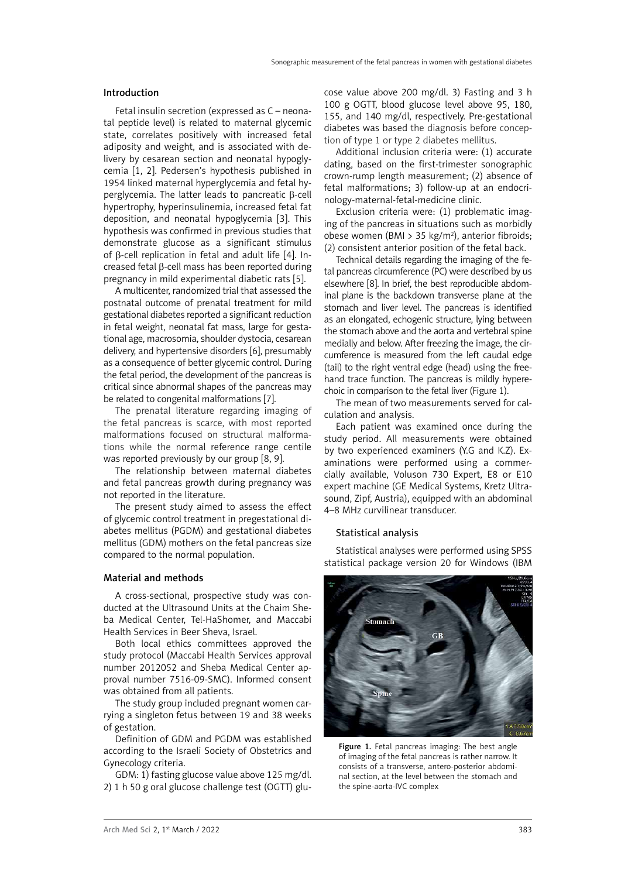#### Introduction

Fetal insulin secretion (expressed as C – neonatal peptide level) is related to maternal glycemic state, correlates positively with increased fetal adiposity and weight, and is associated with delivery by cesarean section and neonatal hypoglycemia [1, 2]. Pedersen's hypothesis published in 1954 linked maternal hyperglycemia and fetal hyperglycemia. The latter leads to pancreatic β-cell hypertrophy, hyperinsulinemia, increased fetal fat deposition, and neonatal hypoglycemia [3]. This hypothesis was confirmed in previous studies that demonstrate glucose as a significant stimulus of β-cell replication in fetal and adult life [4]. Increased fetal β-cell mass has been reported during pregnancy in mild experimental diabetic rats [5].

A multicenter, randomized trial that assessed the postnatal outcome of prenatal treatment for mild gestational diabetes reported a significant reduction in fetal weight, neonatal fat mass, large for gestational age, macrosomia, shoulder dystocia, cesarean delivery, and hypertensive disorders [6], presumably as a consequence of better glycemic control. During the fetal period, the development of the pancreas is critical since abnormal shapes of the pancreas may be related to congenital malformations [7].

The prenatal literature regarding imaging of the fetal pancreas is scarce, with most reported malformations focused on structural malformations while the normal reference range centile was reported previously by our group [8, 9].

The relationship between maternal diabetes and fetal pancreas growth during pregnancy was not reported in the literature.

The present study aimed to assess the effect of glycemic control treatment in pregestational diabetes mellitus (PGDM) and gestational diabetes mellitus (GDM) mothers on the fetal pancreas size compared to the normal population.

# Material and methods

A cross-sectional, prospective study was conducted at the Ultrasound Units at the Chaim Sheba Medical Center, Tel-HaShomer, and Maccabi Health Services in Beer Sheva, Israel.

Both local ethics committees approved the study protocol (Maccabi Health Services approval number 2012052 and Sheba Medical Center approval number 7516-09-SMC). Informed consent was obtained from all patients.

The study group included pregnant women carrying a singleton fetus between 19 and 38 weeks of gestation.

Definition of GDM and PGDM was established according to the Israeli Society of Obstetrics and Gynecology criteria.

GDM: 1) fasting glucose value above 125 mg/dl. 2) 1 h 50 g oral glucose challenge test (OGTT) glu-

cose value above 200 mg/dl. 3) Fasting and 3 h 100 g OGTT, blood glucose level above 95, 180, 155, and 140 mg/dl, respectively. Pre-gestational diabetes was based the diagnosis before conception of type 1 or type 2 diabetes mellitus.

Additional inclusion criteria were: (1) accurate dating, based on the first-trimester sonographic crown-rump length measurement; (2) absence of fetal malformations; 3) follow-up at an endocrinology-maternal-fetal-medicine clinic.

Exclusion criteria were: (1) problematic imaging of the pancreas in situations such as morbidly obese women (BMI > 35 kg/m<sup>2</sup>), anterior fibroids; (2) consistent anterior position of the fetal back.

Technical details regarding the imaging of the fetal pancreas circumference (PC) were described by us elsewhere [8]. In brief, the best reproducible abdominal plane is the backdown transverse plane at the stomach and liver level. The pancreas is identified as an elongated, echogenic structure, lying between the stomach above and the aorta and vertebral spine medially and below. After freezing the image, the circumference is measured from the left caudal edge (tail) to the right ventral edge (head) using the freehand trace function. The pancreas is mildly hyperechoic in comparison to the fetal liver (Figure 1).

The mean of two measurements served for calculation and analysis.

Each patient was examined once during the study period. All measurements were obtained by two experienced examiners (Y.G and K.Z). Examinations were performed using a commercially available, Voluson 730 Expert, E8 or E10 expert machine (GE Medical Systems, Kretz Ultrasound, Zipf, Austria), equipped with an abdominal 4–8 MHz curvilinear transducer.

## Statistical analysis

Statistical analyses were performed using SPSS statistical package version 20 for Windows (IBM



Figure 1. Fetal pancreas imaging: The best angle of imaging of the fetal pancreas is rather narrow. It consists of a transverse, antero-posterior abdominal section, at the level between the stomach and the spine-aorta-IVC complex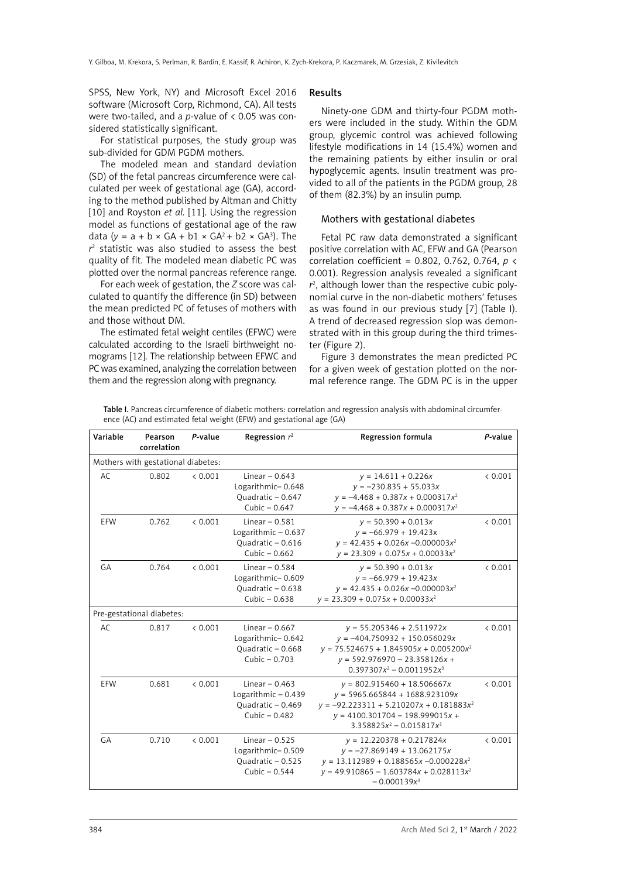SPSS, New York, NY) and Microsoft Excel 2016 software (Microsoft Corp, Richmond, CA). All tests were two-tailed, and a *p*-value of < 0.05 was considered statistically significant.

For statistical purposes, the study group was sub-divided for GDM PGDM mothers.

The modeled mean and standard deviation (SD) of the fetal pancreas circumference were calculated per week of gestational age (GA), according to the method published by Altman and Chitty [10] and Royston *et al.* [11]. Using the regression model as functions of gestational age of the raw data  $(y = a + b \times GA + b1 \times GA^2 + b2 \times GA^3)$ . The *r* 2 statistic was also studied to assess the best quality of fit. The modeled mean diabetic PC was plotted over the normal pancreas reference range.

For each week of gestation, the *Z* score was calculated to quantify the difference (in SD) between the mean predicted PC of fetuses of mothers with and those without DM.

The estimated fetal weight centiles (EFWC) were calculated according to the Israeli birthweight nomograms [12]. The relationship between EFWC and PC was examined, analyzing the correlation between them and the regression along with pregnancy.

#### Results

Ninety-one GDM and thirty-four PGDM mothers were included in the study. Within the GDM group, glycemic control was achieved following lifestyle modifications in 14 (15.4%) women and the remaining patients by either insulin or oral hypoglycemic agents. Insulin treatment was provided to all of the patients in the PGDM group, 28 of them (82.3%) by an insulin pump.

## Mothers with gestational diabetes

Fetal PC raw data demonstrated a significant positive correlation with AC, EFW and GA (Pearson correlation coefficient = 0.802, 0.762, 0.764, *p* < 0.001). Regression analysis revealed a significant *r* 2 , although lower than the respective cubic polynomial curve in the non-diabetic mothers' fetuses as was found in our previous study [7] (Table I). A trend of decreased regression slop was demonstrated with in this group during the third trimester (Figure 2).

Figure 3 demonstrates the mean predicted PC for a given week of gestation plotted on the normal reference range. The GDM PC is in the upper

Table I. Pancreas circumference of diabetic mothers: correlation and regression analysis with abdominal circumference (AC) and estimated fetal weight (EFW) and gestational age (GA)

| Variable                           | Pearson<br>correlation | P-value | Regression $r^2$                                                               | Regression formula                                                                                                                                                                  | P-value |
|------------------------------------|------------------------|---------|--------------------------------------------------------------------------------|-------------------------------------------------------------------------------------------------------------------------------------------------------------------------------------|---------|
| Mothers with gestational diabetes: |                        |         |                                                                                |                                                                                                                                                                                     |         |
| AC.                                | 0.802                  | < 0.001 | Linear $-0.643$<br>Logarithmic-0.648<br>Quadratic - 0.647<br>Cubic $-0.647$    | $y = 14.611 + 0.226x$<br>$y = -230.835 + 55.033x$<br>$y = -4.468 + 0.387x + 0.000317x^2$<br>$y = -4.468 + 0.387x + 0.000317x^2$                                                     | < 0.001 |
| EFW                                | 0.762                  | & 0.001 | Linear $-0.581$<br>Logarithmic $-0.637$<br>Quadratic - 0.616<br>Cubic $-0.662$ | $y = 50.390 + 0.013x$<br>$y = -66.979 + 19.423x$<br>$y = 42.435 + 0.026x - 0.000003x^2$<br>$y = 23.309 + 0.075x + 0.00033x^2$                                                       | < 0.001 |
| GA                                 | 0.764                  | < 0.001 | Linear $-0.584$<br>Logarithmic-0.609<br>Ouadratic - 0.638<br>Cubic $-0.638$    | $y = 50.390 + 0.013x$<br>$y = -66.979 + 19.423x$<br>$y = 42.435 + 0.026x - 0.000003x^2$<br>$y = 23.309 + 0.075x + 0.00033x^2$                                                       | < 0.001 |
| Pre-gestational diabetes:          |                        |         |                                                                                |                                                                                                                                                                                     |         |
| AC.                                | 0.817                  | & 0.001 | Linear $-0.667$<br>Logarithmic-0.642<br>Ouadratic - 0.668<br>Cubic - 0.703     | $y = 55.205346 + 2.511972x$<br>$y = -404.750932 + 150.056029x$<br>$y = 75.524675 + 1.845905x + 0.005200x^2$<br>$y = 592.976970 - 23.358126x +$<br>$0.397307x^2 - 0.0011952x^3$      | < 0.001 |
| EFW                                | 0.681                  | < 0.001 | Linear $-0.463$<br>Logarithmic-0.439<br>Ouadratic - 0.469<br>Cubic $-0.482$    | $y = 802.915460 + 18.506667x$<br>$y = 5965.665844 + 1688.923109x$<br>$y = -92.223311 + 5.210207x + 0.181883x^2$<br>$y = 4100.301704 - 198.999015x +$<br>$3.358825x^2 - 0.015817x^3$ | < 0.001 |
| GA                                 | 0.710                  | < 0.001 | Linear $-0.525$<br>Logarithmic-0.509<br>Quadratic - 0.525<br>Cubic $-0.544$    | $y = 12.220378 + 0.217824x$<br>$y = -27.869149 + 13.062175x$<br>$y = 13.112989 + 0.188565x - 0.000228x^2$<br>$y = 49.910865 - 1.603784x + 0.028113x^2$<br>$-0.000139x^3$            | < 0.001 |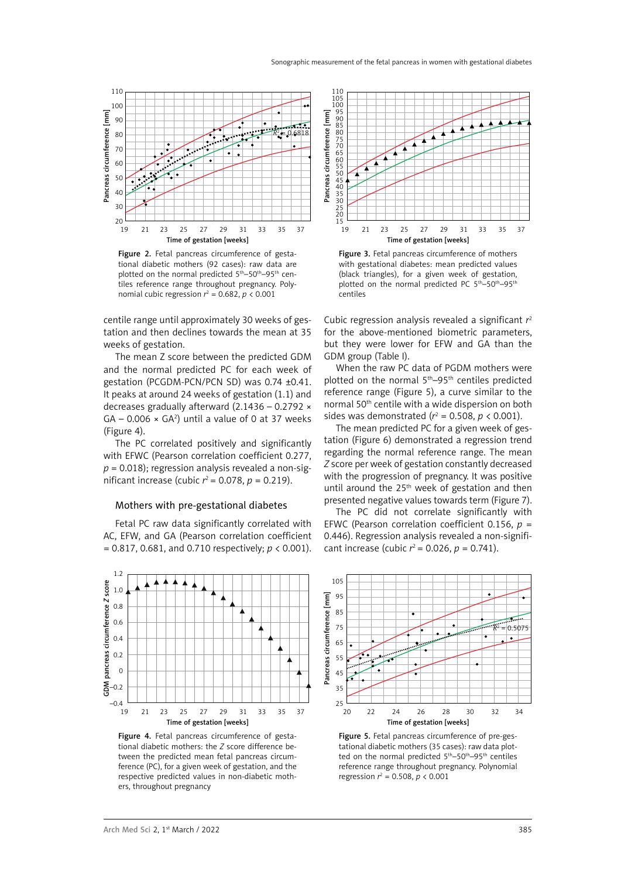

Figure 2. Fetal pancreas circumference of gestational diabetic mothers (92 cases): raw data are plotted on the normal predicted 5<sup>th</sup>–50<sup>th</sup>–95<sup>th</sup> centiles reference range throughout pregnancy. Polynomial cubic regression  $r^2 = 0.682$ ,  $p < 0.001$ 

centile range until approximately 30 weeks of gestation and then declines towards the mean at 35 weeks of gestation.

The mean Z score between the predicted GDM and the normal predicted PC for each week of gestation (PCGDM-PCN/PCN SD) was 0.74 ±0.41. It peaks at around 24 weeks of gestation (1.1) and decreases gradually afterward (2.1436 – 0.2792 ×  $GA - 0.006 \times GA^2$ ) until a value of 0 at 37 weeks (Figure 4).

The PC correlated positively and significantly with EFWC (Pearson correlation coefficient 0.277, *p* = 0.018); regression analysis revealed a non-significant increase (cubic  $r^2$  = 0.078,  $p$  = 0.219).

#### Mothers with pre-gestational diabetes

Fetal PC raw data significantly correlated with AC, EFW, and GA (Pearson correlation coefficient = 0.817, 0.681, and 0.710 respectively; *p* < 0.001).



Figure 4. Fetal pancreas circumference of gestational diabetic mothers: the *Z* score difference between the predicted mean fetal pancreas circumference (PC), for a given week of gestation, and the respective predicted values in non-diabetic mothers, throughout pregnancy



Figure 3. Fetal pancreas circumference of mothers with gestational diabetes: mean predicted values (black triangles), for a given week of gestation, plotted on the normal predicted PC 5<sup>th</sup>–50<sup>th</sup>–95<sup>th</sup> centiles

Cubic regression analysis revealed a significant *r* 2 for the above-mentioned biometric parameters, but they were lower for EFW and GA than the GDM group (Table I).

When the raw PC data of PGDM mothers were plotted on the normal 5th–95th centiles predicted reference range (Figure 5), a curve similar to the normal 50th centile with a wide dispersion on both sides was demonstrated ( $r^2$  = 0.508,  $p < 0.001$ ).

The mean predicted PC for a given week of gestation (Figure 6) demonstrated a regression trend regarding the normal reference range. The mean *Z* score per week of gestation constantly decreased with the progression of pregnancy. It was positive until around the  $25<sup>th</sup>$  week of gestation and then presented negative values towards term (Figure 7).

The PC did not correlate significantly with EFWC (Pearson correlation coefficient 0.156, *p* = 0.446). Regression analysis revealed a non-significant increase (cubic  $r^2$  = 0.026,  $p$  = 0.741).



Figure 5. Fetal pancreas circumference of pre-gestational diabetic mothers (35 cases): raw data plotted on the normal predicted 5<sup>th</sup>–50<sup>th</sup>–95<sup>th</sup> centiles reference range throughout pregnancy. Polynomial regression  $r^2 = 0.508$ ,  $p < 0.001$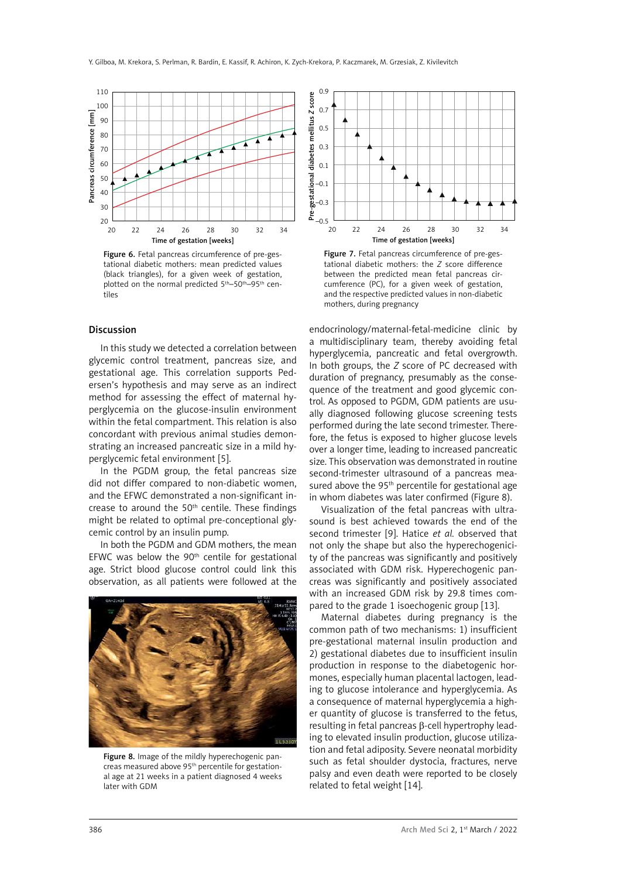

Figure 6. Fetal pancreas circumference of pre-gestational diabetic mothers: mean predicted values (black triangles), for a given week of gestation, plotted on the normal predicted 5<sup>th</sup>–50<sup>th</sup>–95<sup>th</sup> centiles

## Discussion

In this study we detected a correlation between glycemic control treatment, pancreas size, and gestational age. This correlation supports Pedersen's hypothesis and may serve as an indirect method for assessing the effect of maternal hyperglycemia on the glucose-insulin environment within the fetal compartment. This relation is also concordant with previous animal studies demonstrating an increased pancreatic size in a mild hyperglycemic fetal environment [5].

In the PGDM group, the fetal pancreas size did not differ compared to non-diabetic women, and the EFWC demonstrated a non-significant increase to around the 50<sup>th</sup> centile. These findings might be related to optimal pre-conceptional glycemic control by an insulin pump.

In both the PGDM and GDM mothers, the mean EFWC was below the  $90<sup>th</sup>$  centile for gestational age. Strict blood glucose control could link this observation, as all patients were followed at the



Figure 8. Image of the mildly hyperechogenic pancreas measured above 95<sup>th</sup> percentile for gestational age at 21 weeks in a patient diagnosed 4 weeks later with GDM



Figure 7. Fetal pancreas circumference of pre-gestational diabetic mothers: the *Z* score difference between the predicted mean fetal pancreas circumference (PC), for a given week of gestation, and the respective predicted values in non-diabetic mothers, during pregnancy

endocrinology/maternal-fetal-medicine clinic by a multidisciplinary team, thereby avoiding fetal hyperglycemia, pancreatic and fetal overgrowth. In both groups, the *Z* score of PC decreased with duration of pregnancy, presumably as the consequence of the treatment and good glycemic control. As opposed to PGDM, GDM patients are usually diagnosed following glucose screening tests performed during the late second trimester. Therefore, the fetus is exposed to higher glucose levels over a longer time, leading to increased pancreatic size. This observation was demonstrated in routine second-trimester ultrasound of a pancreas measured above the 95<sup>th</sup> percentile for gestational age in whom diabetes was later confirmed (Figure 8).

Visualization of the fetal pancreas with ultrasound is best achieved towards the end of the second trimester [9]. Hatice *et al.* observed that not only the shape but also the hyperechogenicity of the pancreas was significantly and positively associated with GDM risk. Hyperechogenic pancreas was significantly and positively associated with an increased GDM risk by 29.8 times compared to the grade 1 isoechogenic group [13].

Maternal diabetes during pregnancy is the common path of two mechanisms: 1) insufficient pre-gestational maternal insulin production and 2) gestational diabetes due to insufficient insulin production in response to the diabetogenic hormones, especially human placental lactogen, leading to glucose intolerance and hyperglycemia. As a consequence of maternal hyperglycemia a higher quantity of glucose is transferred to the fetus, resulting in fetal pancreas β-cell hypertrophy leading to elevated insulin production, glucose utilization and fetal adiposity. Severe neonatal morbidity such as fetal shoulder dystocia, fractures, nerve palsy and even death were reported to be closely related to fetal weight [14].